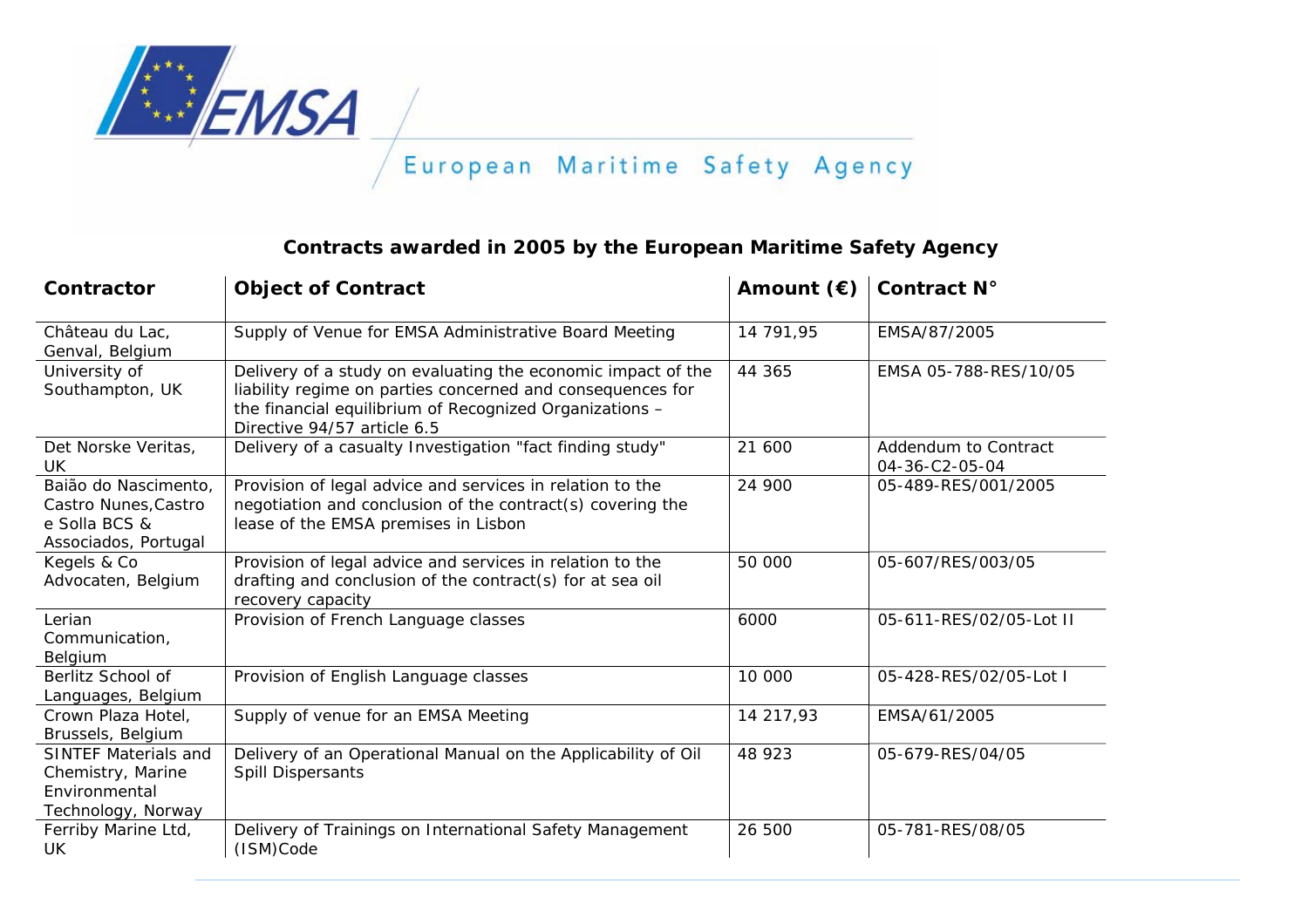

## **Contracts awarded in 2005 by the European Maritime Safety Agency**

| Contractor                                                                              | <b>Object of Contract</b>                                                                                                                                                                                            | Amount $(\epsilon)$ | Contract N°                            |
|-----------------------------------------------------------------------------------------|----------------------------------------------------------------------------------------------------------------------------------------------------------------------------------------------------------------------|---------------------|----------------------------------------|
| Château du Lac,<br>Genval, Belgium                                                      | Supply of Venue for EMSA Administrative Board Meeting                                                                                                                                                                | 14 791,95           | EMSA/87/2005                           |
| University of<br>Southampton, UK                                                        | Delivery of a study on evaluating the economic impact of the<br>liability regime on parties concerned and consequences for<br>the financial equilibrium of Recognized Organizations -<br>Directive 94/57 article 6.5 | 44 365              | EMSA 05-788-RES/10/05                  |
| Det Norske Veritas,<br>UK                                                               | Delivery of a casualty Investigation "fact finding study"                                                                                                                                                            | 21 600              | Addendum to Contract<br>04-36-C2-05-04 |
| Baião do Nascimento,<br>Castro Nunes, Castro<br>e Solla BCS &<br>Associados, Portugal   | Provision of legal advice and services in relation to the<br>negotiation and conclusion of the contract(s) covering the<br>lease of the EMSA premises in Lisbon                                                      | 24 900              | 05-489-RES/001/2005                    |
| Kegels & Co<br>Advocaten, Belgium                                                       | Provision of legal advice and services in relation to the<br>drafting and conclusion of the contract(s) for at sea oil<br>recovery capacity                                                                          | 50 000              | 05-607/RES/003/05                      |
| Lerian<br>Communication,<br>Belgium                                                     | Provision of French Language classes                                                                                                                                                                                 | 6000                | 05-611-RES/02/05-Lot II                |
| Berlitz School of<br>Languages, Belgium                                                 | Provision of English Language classes                                                                                                                                                                                | 10 000              | 05-428-RES/02/05-Lot I                 |
| Crown Plaza Hotel,<br>Brussels, Belgium                                                 | Supply of venue for an EMSA Meeting                                                                                                                                                                                  | 14 217,93           | EMSA/61/2005                           |
| <b>SINTEF Materials and</b><br>Chemistry, Marine<br>Environmental<br>Technology, Norway | Delivery of an Operational Manual on the Applicability of Oil<br><b>Spill Dispersants</b>                                                                                                                            | 48 923              | 05-679-RES/04/05                       |
| Ferriby Marine Ltd,<br><b>UK</b>                                                        | Delivery of Trainings on International Safety Management<br>(ISM)Code                                                                                                                                                | 26 500              | 05-781-RES/08/05                       |